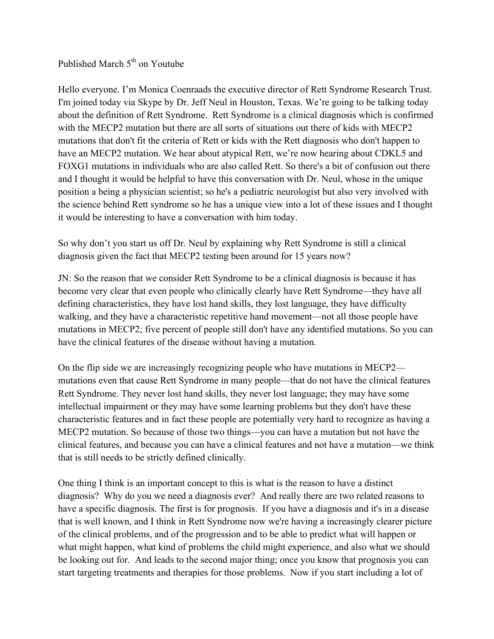Published March  $5<sup>th</sup>$  on Youtube

Hello everyone. I'm Monica Coenraads the executive director of Rett Syndrome Research Trust. I'm joined today via Skype by Dr. Jeff Neul in Houston, Texas. We're going to be talking today about the definition of Rett Syndrome. Rett Syndrome is a clinical diagnosis which is confirmed with the MECP2 mutation but there are all sorts of situations out there of kids with MECP2 mutations that don't fit the criteria of Rett or kids with the Rett diagnosis who don't happen to have an MECP2 mutation. We hear about atypical Rett, we're now hearing about CDKL5 and FOXG1 mutations in individuals who are also called Rett. So there's a bit of confusion out there and I thought it would be helpful to have this conversation with Dr. Neul, whose in the unique position a being a physician scientist; so he's a pediatric neurologist but also very involved with the science behind Rett syndrome so he has a unique view into a lot of these issues and I thought it would be interesting to have a conversation with him today.

So why don't you start us off Dr. Neul by explaining why Rett Syndrome is still a clinical diagnosis given the fact that MECP2 testing been around for 15 years now?

JN: So the reason that we consider Rett Syndrome to be a clinical diagnosis is because it has become very clear that even people who clinically clearly have Rett Syndrome—they have all defining characteristics, they have lost hand skills, they lost language, they have difficulty walking, and they have a characteristic repetitive hand movement—not all those people have mutations in MECP2; five percent of people still don't have any identified mutations. So you can have the clinical features of the disease without having a mutation.

On the flip side we are increasingly recognizing people who have mutations in MECP2 mutations even that cause Rett Syndrome in many people—that do not have the clinical features Rett Syndrome. They never lost hand skills, they never lost language; they may have some intellectual impairment or they may have some learning problems but they don't have these characteristic features and in fact these people are potentially very hard to recognize as having a MECP2 mutation. So because of those two things—you can have a mutation but not have the clinical features, and because you can have a clinical features and not have a mutation—we think that is still needs to be strictly defined clinically.

One thing I think is an important concept to this is what is the reason to have a distinct diagnosis? Why do you we need a diagnosis ever? And really there are two related reasons to have a specific diagnosis. The first is for prognosis. If you have a diagnosis and it's in a disease that is well known, and I think in Rett Syndrome now we're having a increasingly clearer picture of the clinical problems, and of the progression and to be able to predict what will happen or what might happen, what kind of problems the child might experience, and also what we should be looking out for. And leads to the second major thing; once you know that prognosis you can start targeting treatments and therapies for those problems. Now if you start including a lot of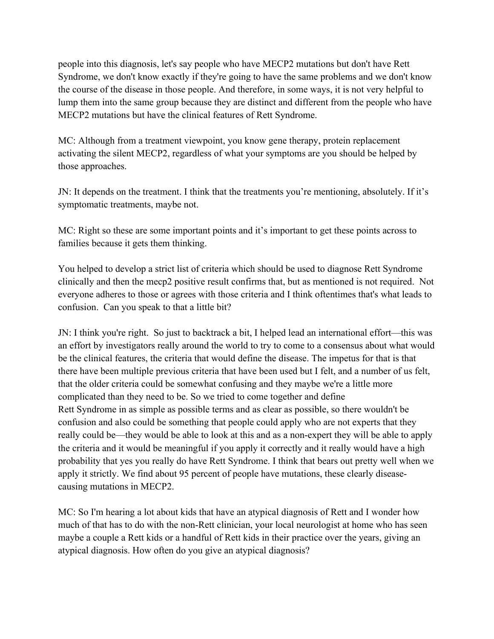people into this diagnosis, let's say people who have MECP2 mutations but don't have Rett Syndrome, we don't know exactly if they're going to have the same problems and we don't know the course of the disease in those people. And therefore, in some ways, it is not very helpful to lump them into the same group because they are distinct and different from the people who have MECP2 mutations but have the clinical features of Rett Syndrome.

MC: Although from a treatment viewpoint, you know gene therapy, protein replacement activating the silent MECP2, regardless of what your symptoms are you should be helped by those approaches.

JN: It depends on the treatment. I think that the treatments you're mentioning, absolutely. If it's symptomatic treatments, maybe not.

MC: Right so these are some important points and it's important to get these points across to families because it gets them thinking.

You helped to develop a strict list of criteria which should be used to diagnose Rett Syndrome clinically and then the mecp2 positive result confirms that, but as mentioned is not required. Not everyone adheres to those or agrees with those criteria and I think oftentimes that's what leads to confusion. Can you speak to that a little bit?

JN: I think you're right. So just to backtrack a bit, I helped lead an international effort—this was an effort by investigators really around the world to try to come to a consensus about what would be the clinical features, the criteria that would define the disease. The impetus for that is that there have been multiple previous criteria that have been used but I felt, and a number of us felt, that the older criteria could be somewhat confusing and they maybe we're a little more complicated than they need to be. So we tried to come together and define Rett Syndrome in as simple as possible terms and as clear as possible, so there wouldn't be confusion and also could be something that people could apply who are not experts that they really could be—they would be able to look at this and as a non-expert they will be able to apply the criteria and it would be meaningful if you apply it correctly and it really would have a high probability that yes you really do have Rett Syndrome. I think that bears out pretty well when we apply it strictly. We find about 95 percent of people have mutations, these clearly diseasecausing mutations in MECP2.

MC: So I'm hearing a lot about kids that have an atypical diagnosis of Rett and I wonder how much of that has to do with the non-Rett clinician, your local neurologist at home who has seen maybe a couple a Rett kids or a handful of Rett kids in their practice over the years, giving an atypical diagnosis. How often do you give an atypical diagnosis?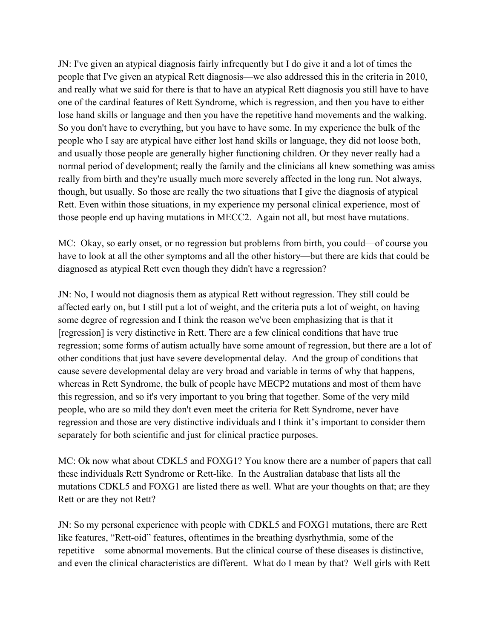JN: I've given an atypical diagnosis fairly infrequently but I do give it and a lot of times the people that I've given an atypical Rett diagnosis—we also addressed this in the criteria in 2010, and really what we said for there is that to have an atypical Rett diagnosis you still have to have one of the cardinal features of Rett Syndrome, which is regression, and then you have to either lose hand skills or language and then you have the repetitive hand movements and the walking. So you don't have to everything, but you have to have some. In my experience the bulk of the people who I say are atypical have either lost hand skills or language, they did not loose both, and usually those people are generally higher functioning children. Or they never really had a normal period of development; really the family and the clinicians all knew something was amiss really from birth and they're usually much more severely affected in the long run. Not always, though, but usually. So those are really the two situations that I give the diagnosis of atypical Rett. Even within those situations, in my experience my personal clinical experience, most of those people end up having mutations in MECC2. Again not all, but most have mutations.

MC: Okay, so early onset, or no regression but problems from birth, you could—of course you have to look at all the other symptoms and all the other history—but there are kids that could be diagnosed as atypical Rett even though they didn't have a regression?

JN: No, I would not diagnosis them as atypical Rett without regression. They still could be affected early on, but I still put a lot of weight, and the criteria puts a lot of weight, on having some degree of regression and I think the reason we've been emphasizing that is that it [regression] is very distinctive in Rett. There are a few clinical conditions that have true regression; some forms of autism actually have some amount of regression, but there are a lot of other conditions that just have severe developmental delay. And the group of conditions that cause severe developmental delay are very broad and variable in terms of why that happens, whereas in Rett Syndrome, the bulk of people have MECP2 mutations and most of them have this regression, and so it's very important to you bring that together. Some of the very mild people, who are so mild they don't even meet the criteria for Rett Syndrome, never have regression and those are very distinctive individuals and I think it's important to consider them separately for both scientific and just for clinical practice purposes.

MC: Ok now what about CDKL5 and FOXG1? You know there are a number of papers that call these individuals Rett Syndrome or Rett-like. In the Australian database that lists all the mutations CDKL5 and FOXG1 are listed there as well. What are your thoughts on that; are they Rett or are they not Rett?

JN: So my personal experience with people with CDKL5 and FOXG1 mutations, there are Rett like features, "Rett-oid" features, oftentimes in the breathing dysrhythmia, some of the repetitive—some abnormal movements. But the clinical course of these diseases is distinctive, and even the clinical characteristics are different. What do I mean by that? Well girls with Rett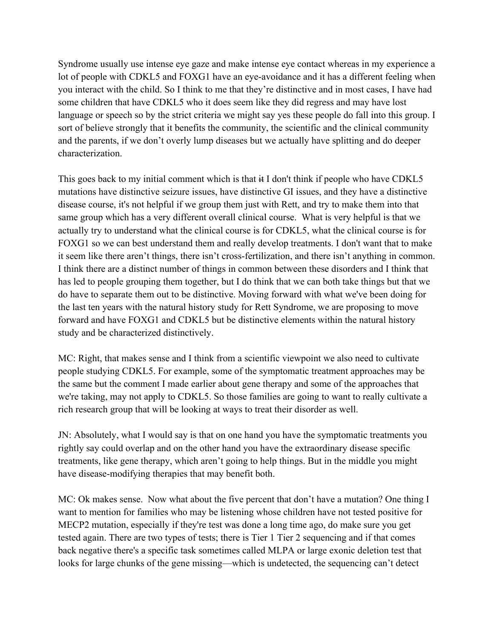Syndrome usually use intense eye gaze and make intense eye contact whereas in my experience a lot of people with CDKL5 and FOXG1 have an eye-avoidance and it has a different feeling when you interact with the child. So I think to me that they're distinctive and in most cases, I have had some children that have CDKL5 who it does seem like they did regress and may have lost language or speech so by the strict criteria we might say yes these people do fall into this group. I sort of believe strongly that it benefits the community, the scientific and the clinical community and the parents, if we don't overly lump diseases but we actually have splitting and do deeper characterization.

This goes back to my initial comment which is that it I don't think if people who have CDKL5 mutations have distinctive seizure issues, have distinctive GI issues, and they have a distinctive disease course, it's not helpful if we group them just with Rett, and try to make them into that same group which has a very different overall clinical course. What is very helpful is that we actually try to understand what the clinical course is for CDKL5, what the clinical course is for FOXG1 so we can best understand them and really develop treatments. I don't want that to make it seem like there aren't things, there isn't cross-fertilization, and there isn't anything in common. I think there are a distinct number of things in common between these disorders and I think that has led to people grouping them together, but I do think that we can both take things but that we do have to separate them out to be distinctive. Moving forward with what we've been doing for the last ten years with the natural history study for Rett Syndrome, we are proposing to move forward and have FOXG1 and CDKL5 but be distinctive elements within the natural history study and be characterized distinctively.

MC: Right, that makes sense and I think from a scientific viewpoint we also need to cultivate people studying CDKL5. For example, some of the symptomatic treatment approaches may be the same but the comment I made earlier about gene therapy and some of the approaches that we're taking, may not apply to CDKL5. So those families are going to want to really cultivate a rich research group that will be looking at ways to treat their disorder as well.

JN: Absolutely, what I would say is that on one hand you have the symptomatic treatments you rightly say could overlap and on the other hand you have the extraordinary disease specific treatments, like gene therapy, which aren't going to help things. But in the middle you might have disease-modifying therapies that may benefit both.

MC: Ok makes sense. Now what about the five percent that don't have a mutation? One thing I want to mention for families who may be listening whose children have not tested positive for MECP2 mutation, especially if they're test was done a long time ago, do make sure you get tested again. There are two types of tests; there is Tier 1 Tier 2 sequencing and if that comes back negative there's a specific task sometimes called MLPA or large exonic deletion test that looks for large chunks of the gene missing—which is undetected, the sequencing can't detect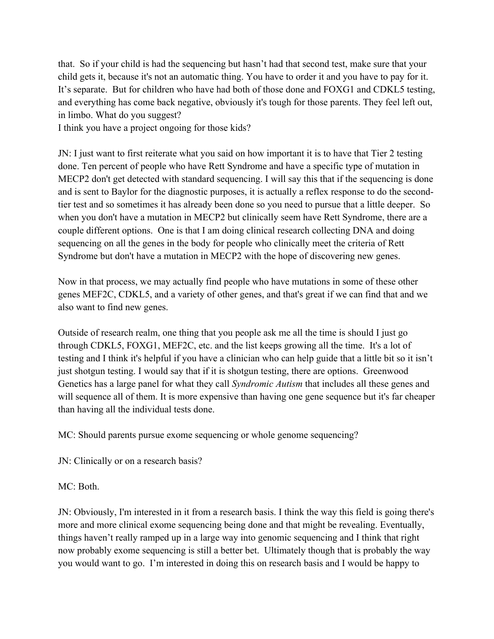that. So if your child is had the sequencing but hasn't had that second test, make sure that your child gets it, because it's not an automatic thing. You have to order it and you have to pay for it. It's separate. But for children who have had both of those done and FOXG1 and CDKL5 testing, and everything has come back negative, obviously it's tough for those parents. They feel left out, in limbo. What do you suggest?

I think you have a project ongoing for those kids?

JN: I just want to first reiterate what you said on how important it is to have that Tier 2 testing done. Ten percent of people who have Rett Syndrome and have a specific type of mutation in MECP2 don't get detected with standard sequencing. I will say this that if the sequencing is done and is sent to Baylor for the diagnostic purposes, it is actually a reflex response to do the secondtier test and so sometimes it has already been done so you need to pursue that a little deeper. So when you don't have a mutation in MECP2 but clinically seem have Rett Syndrome, there are a couple different options. One is that I am doing clinical research collecting DNA and doing sequencing on all the genes in the body for people who clinically meet the criteria of Rett Syndrome but don't have a mutation in MECP2 with the hope of discovering new genes.

Now in that process, we may actually find people who have mutations in some of these other genes MEF2C, CDKL5, and a variety of other genes, and that's great if we can find that and we also want to find new genes.

Outside of research realm, one thing that you people ask me all the time is should I just go through CDKL5, FOXG1, MEF2C, etc. and the list keeps growing all the time. It's a lot of testing and I think it's helpful if you have a clinician who can help guide that a little bit so it isn't just shotgun testing. I would say that if it is shotgun testing, there are options. Greenwood Genetics has a large panel for what they call *Syndromic Autism* that includes all these genes and will sequence all of them. It is more expensive than having one gene sequence but it's far cheaper than having all the individual tests done.

MC: Should parents pursue exome sequencing or whole genome sequencing?

JN: Clinically or on a research basis?

MC: Both.

JN: Obviously, I'm interested in it from a research basis. I think the way this field is going there's more and more clinical exome sequencing being done and that might be revealing. Eventually, things haven't really ramped up in a large way into genomic sequencing and I think that right now probably exome sequencing is still a better bet. Ultimately though that is probably the way you would want to go. I'm interested in doing this on research basis and I would be happy to